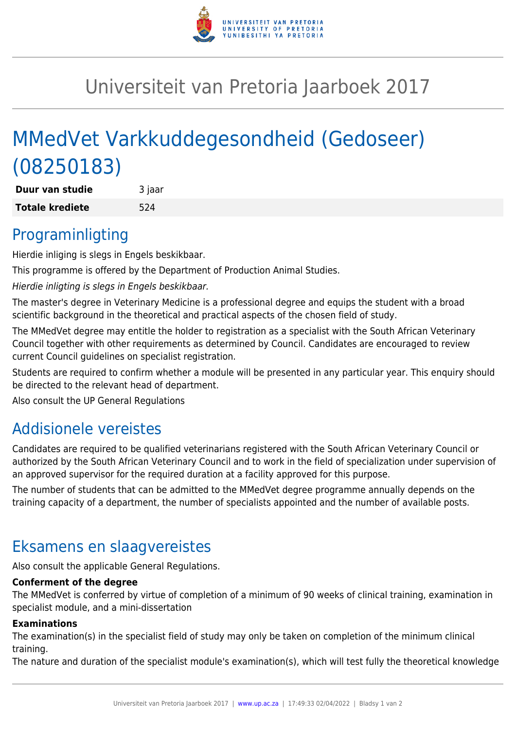

## Universiteit van Pretoria Jaarboek 2017

# MMedVet Varkkuddegesondheid (Gedoseer) (08250183)

**Duur van studie** 3 jaar **Totale krediete** 524

### Programinligting

Hierdie inliging is slegs in Engels beskikbaar.

This programme is offered by the Department of Production Animal Studies.

Hierdie inligting is slegs in Engels beskikbaar.

The master's degree in Veterinary Medicine is a professional degree and equips the student with a broad scientific background in the theoretical and practical aspects of the chosen field of study.

The MMedVet degree may entitle the holder to registration as a specialist with the South African Veterinary Council together with other requirements as determined by Council. Candidates are encouraged to review current Council guidelines on specialist registration.

Students are required to confirm whether a module will be presented in any particular year. This enquiry should be directed to the relevant head of department.

Also consult the UP General Regulations

### Addisionele vereistes

Candidates are required to be qualified veterinarians registered with the South African Veterinary Council or authorized by the South African Veterinary Council and to work in the field of specialization under supervision of an approved supervisor for the required duration at a facility approved for this purpose.

The number of students that can be admitted to the MMedVet degree programme annually depends on the training capacity of a department, the number of specialists appointed and the number of available posts.

### Eksamens en slaagvereistes

Also consult the applicable General Regulations.

#### **Conferment of the degree**

The MMedVet is conferred by virtue of completion of a minimum of 90 weeks of clinical training, examination in specialist module, and a mini-dissertation

#### **Examinations**

The examination(s) in the specialist field of study may only be taken on completion of the minimum clinical training.

The nature and duration of the specialist module's examination(s), which will test fully the theoretical knowledge